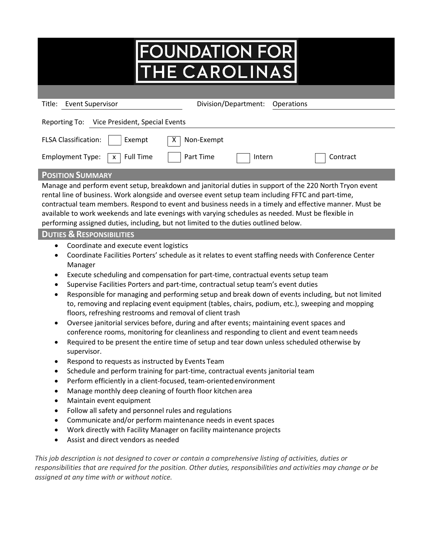## FOUNDATION FOR

| <b>Event Supervisor</b><br>Division/Department:<br>Title:<br><b>Operations</b>                                                                                                                                                                                                                                                                                                                                                                                                                                         |  |  |  |  |  |
|------------------------------------------------------------------------------------------------------------------------------------------------------------------------------------------------------------------------------------------------------------------------------------------------------------------------------------------------------------------------------------------------------------------------------------------------------------------------------------------------------------------------|--|--|--|--|--|
| Vice President, Special Events<br>Reporting To:                                                                                                                                                                                                                                                                                                                                                                                                                                                                        |  |  |  |  |  |
| <b>FLSA Classification:</b><br>Exempt<br>Non-Exempt<br>х                                                                                                                                                                                                                                                                                                                                                                                                                                                               |  |  |  |  |  |
| Part Time<br><b>Full Time</b><br><b>Employment Type:</b><br>Contract<br>Intern<br>$\mathsf{X}$                                                                                                                                                                                                                                                                                                                                                                                                                         |  |  |  |  |  |
| <b>POSITION SUMMARY</b>                                                                                                                                                                                                                                                                                                                                                                                                                                                                                                |  |  |  |  |  |
| Manage and perform event setup, breakdown and janitorial duties in support of the 220 North Tryon event<br>rental line of business. Work alongside and oversee event setup team including FFTC and part-time,<br>contractual team members. Respond to event and business needs in a timely and effective manner. Must be<br>available to work weekends and late evenings with varying schedules as needed. Must be flexible in<br>performing assigned duties, including, but not limited to the duties outlined below. |  |  |  |  |  |
| <b>DUTIES &amp; RESPONSIBILITIES</b>                                                                                                                                                                                                                                                                                                                                                                                                                                                                                   |  |  |  |  |  |
| Coordinate and execute event logistics<br>$\bullet$<br>Coordinate Eacilities Porters' schedule as it relates to event staffing needs with Conference Center                                                                                                                                                                                                                                                                                                                                                            |  |  |  |  |  |

- Coordinate Facilities Porters' schedule as it relates Manager
- Execute scheduling and compensation for part-time, contractual events setup team
- Supervise Facilities Porters and part-time, contractual setup team's event duties
- Responsible for managing and performing setup and break down of events including, but not limited to, removing and replacing event equipment (tables, chairs, podium, etc.), sweeping and mopping floors, refreshing restrooms and removal of client trash
- Oversee janitorial services before, during and after events; maintaining event spaces and conference rooms, monitoring for cleanliness and responding to client and event teamneeds
- Required to be present the entire time of setup and tear down unless scheduled otherwise by supervisor.
- Respond to requests as instructed by Events Team
- Schedule and perform training for part-time, contractual events janitorial team
- Perform efficiently in a client-focused, team-orientedenvironment
- Manage monthly deep cleaning of fourth floor kitchen area
- Maintain event equipment
- Follow all safety and personnel rules and regulations
- Communicate and/or perform maintenance needs in event spaces
- Work directly with Facility Manager on facility maintenance projects
- Assist and direct vendors as needed

*This job description is not designed to cover or contain a comprehensive listing of activities, duties or responsibilities that are required for the position. Other duties, responsibilities and activities may change or be assigned at any time with or without notice.*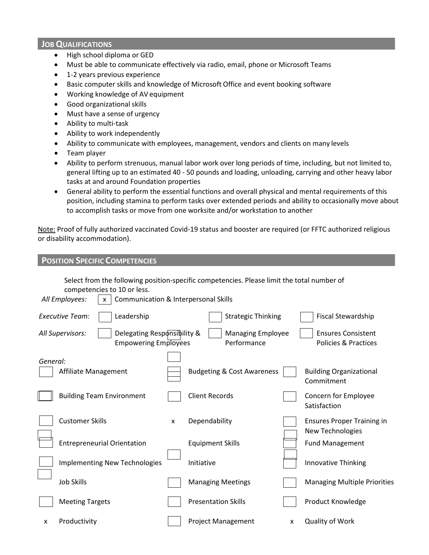## **JOB QUALIFICATIONS**

- High school diploma or GED
- Must be able to communicate effectively via radio, email, phone or Microsoft Teams
- 1-2 years previous experience
- Basic computer skills and knowledge of Microsoft Office and event booking software
- Working knowledge of AV equipment
- Good organizational skills
- Must have a sense of urgency
- Ability to multi-task
- Ability to work independently
- Ability to communicate with employees, management, vendors and clients on many levels
- Team player
- Ability to perform strenuous, manual labor work over long periods of time, including, but not limited to, general lifting up to an estimated 40 - 50 pounds and loading, unloading, carrying and other heavy labor tasks at and around Foundation properties
- General ability to perform the essential functions and overall physical and mental requirements of this position, including stamina to perform tasks over extended periods and ability to occasionally move about to accomplish tasks or move from one worksite and/or workstation to another

Note: Proof of fully authorized vaccinated Covid-19 status and booster are required (or FFTC authorized religious or disability accommodation).

| <b>POSITION SPECIFIC COMPETENCIES</b>                                          |                                                                                                                                               |                                                              |
|--------------------------------------------------------------------------------|-----------------------------------------------------------------------------------------------------------------------------------------------|--------------------------------------------------------------|
| competencies to 10 or less.<br>All Employees:<br>$\mathsf{x}$                  | Select from the following position-specific competencies. Please limit the total number of<br><b>Communication &amp; Interpersonal Skills</b> |                                                              |
| <b>Executive Team:</b><br>Leadership                                           | <b>Strategic Thinking</b>                                                                                                                     | <b>Fiscal Stewardship</b>                                    |
| All Supervisors:<br>Delegating Responsibility &<br><b>Empowering Employees</b> | <b>Managing Employee</b><br>Performance                                                                                                       | <b>Ensures Consistent</b><br><b>Policies &amp; Practices</b> |
| General:<br>Affiliate Management                                               | <b>Budgeting &amp; Cost Awareness</b>                                                                                                         | <b>Building Organizational</b><br>Commitment                 |
| <b>Building Team Environment</b>                                               | <b>Client Records</b>                                                                                                                         | Concern for Employee<br>Satisfaction                         |
| <b>Customer Skills</b>                                                         | Dependability<br>X                                                                                                                            | <b>Ensures Proper Training in</b><br>New Technologies        |
| <b>Entrepreneurial Orientation</b>                                             | <b>Equipment Skills</b>                                                                                                                       | <b>Fund Management</b>                                       |
| <b>Implementing New Technologies</b>                                           | Initiative                                                                                                                                    | Innovative Thinking                                          |
| <b>Job Skills</b>                                                              | <b>Managing Meetings</b>                                                                                                                      | <b>Managing Multiple Priorities</b>                          |
| <b>Meeting Targets</b>                                                         | <b>Presentation Skills</b>                                                                                                                    | Product Knowledge                                            |
| Productivity<br>x                                                              | <b>Project Management</b><br>X                                                                                                                | <b>Quality of Work</b>                                       |